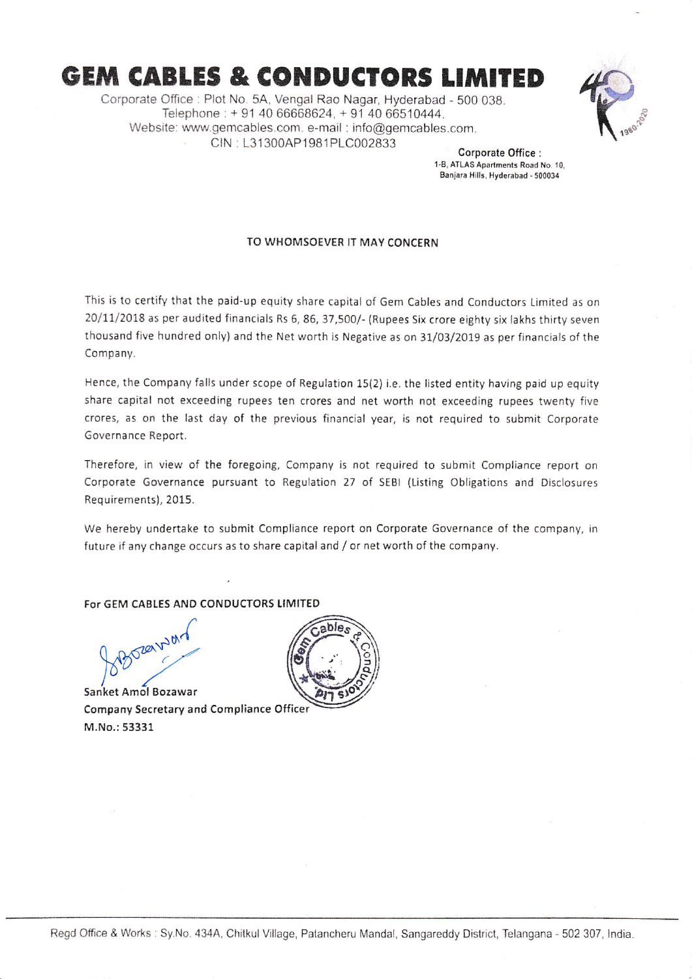## **GEM CABLES & CONDUCTORS LIMITED**

Corporate Offlce: Plot No. 5A, Vengal Rao Nagar, Hyderabad - 500 038. Telephone: + 91 40 66668624, + 91 40 66510444. Website: www.gemcables.com. e-mail: info@gemcables.com. CIN : L31300AP1981PLC002833



Corporate Office :<br>1-B. ATLAS Apartments Road No. 10. Banjara Hills, Hyderabad - 500034

## TO WHOMSOEVER IT MAY CONCERN

This is to certify that the paid-up equity share capital of Gem Cables and Conductors Limited as on 20/11/2018 as per audited financials Rs 6, 86, 37,500/- (Rupees Six crore eighty six lakhs thirty seven thousand five hundred only) and the Net worth is Negative as on 31/03/2019 as per financials of the Company.

Hence, the Company falls under scope of Regulation 15(2) i.e. the llsted entity having paid up equity share capital not exceeding rupees ten crores and net worth not exceeding rupees twenty five crores, as on the last day of the previous financial year, is not required to submit Corporate Governance Report.

Therefore, in view of the foregoing, Company is not required to submit Compliance report on Corporate Governance pursuant to Regulation 27 of SEBI (Listing Obligations and Disclosures Requirements),2015.

We hereby undertake to submit Compliance report on Corporate Governance of the company, in future if any change occurs as to share capital and / or net worth of the company.

For GEM CABLES AND CONDUCTORS UMITED

.<br>.<br>201 ket Amol Bozawar

Sanket Amol Bozawar Company Secretary and Compliance Officer M,No,:53331